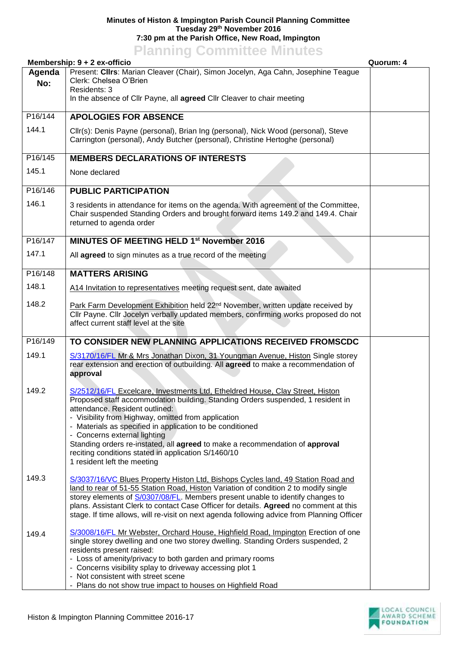## **Minutes of Histon & Impington Parish Council Planning Committee Tuesday 29th November 2016 7:30 pm at the Parish Office, New Road, Impington**

## **Planning Committee Minutes**

| Membership: 9 + 2 ex-officio<br>Quorum: 4 |                                                                                                                                                                                                                                                                                                                                                                                                                                                                                                                              |  |  |  |
|-------------------------------------------|------------------------------------------------------------------------------------------------------------------------------------------------------------------------------------------------------------------------------------------------------------------------------------------------------------------------------------------------------------------------------------------------------------------------------------------------------------------------------------------------------------------------------|--|--|--|
| Agenda<br>No:                             | Present: Cllrs: Marian Cleaver (Chair), Simon Jocelyn, Aga Cahn, Josephine Teague<br>Clerk: Chelsea O'Brien<br>Residents: 3<br>In the absence of Cllr Payne, all agreed Cllr Cleaver to chair meeting                                                                                                                                                                                                                                                                                                                        |  |  |  |
| P16/144                                   | <b>APOLOGIES FOR ABSENCE</b>                                                                                                                                                                                                                                                                                                                                                                                                                                                                                                 |  |  |  |
| 144.1                                     | Cllr(s): Denis Payne (personal), Brian Ing (personal), Nick Wood (personal), Steve<br>Carrington (personal), Andy Butcher (personal), Christine Hertoghe (personal)                                                                                                                                                                                                                                                                                                                                                          |  |  |  |
| P16/145                                   | <b>MEMBERS DECLARATIONS OF INTERESTS</b>                                                                                                                                                                                                                                                                                                                                                                                                                                                                                     |  |  |  |
| 145.1                                     | None declared                                                                                                                                                                                                                                                                                                                                                                                                                                                                                                                |  |  |  |
| P16/146                                   | <b>PUBLIC PARTICIPATION</b>                                                                                                                                                                                                                                                                                                                                                                                                                                                                                                  |  |  |  |
| 146.1                                     | 3 residents in attendance for items on the agenda. With agreement of the Committee,<br>Chair suspended Standing Orders and brought forward items 149.2 and 149.4. Chair<br>returned to agenda order                                                                                                                                                                                                                                                                                                                          |  |  |  |
| P16/147                                   | MINUTES OF MEETING HELD 1 <sup>st</sup> November 2016                                                                                                                                                                                                                                                                                                                                                                                                                                                                        |  |  |  |
| 147.1                                     | All agreed to sign minutes as a true record of the meeting                                                                                                                                                                                                                                                                                                                                                                                                                                                                   |  |  |  |
| P16/148                                   | <b>MATTERS ARISING</b>                                                                                                                                                                                                                                                                                                                                                                                                                                                                                                       |  |  |  |
| 148.1                                     | A14 Invitation to representatives meeting request sent, date awaited                                                                                                                                                                                                                                                                                                                                                                                                                                                         |  |  |  |
| 148.2                                     | Park Farm Development Exhibition held 22 <sup>nd</sup> November, written update received by<br>Cllr Payne. Cllr Jocelyn verbally updated members, confirming works proposed do not<br>affect current staff level at the site                                                                                                                                                                                                                                                                                                 |  |  |  |
| P16/149                                   | TO CONSIDER NEW PLANNING APPLICATIONS RECEIVED FROMSCDC                                                                                                                                                                                                                                                                                                                                                                                                                                                                      |  |  |  |
| 149.1                                     | S/3170/16/FL Mr & Mrs Jonathan Dixon, 31 Youngman Avenue, Histon Single storey<br>rear extension and erection of outbuilding. All agreed to make a recommendation of<br>approval                                                                                                                                                                                                                                                                                                                                             |  |  |  |
| 149.2                                     | S/2512/16/FL Excelcare, Investments Ltd, Etheldred House, Clay Street, Histon<br>Proposed staff accommodation building. Standing Orders suspended, 1 resident in<br>attendance. Resident outlined:<br>- Visibility from Highway, omitted from application<br>- Materials as specified in application to be conditioned<br>- Concerns external lighting<br>Standing orders re-instated, all agreed to make a recommendation of approval<br>reciting conditions stated in application S/1460/10<br>1 resident left the meeting |  |  |  |
| 149.3                                     | S/3037/16/VC Blues Property Histon Ltd, Bishops Cycles land, 49 Station Road and<br>land to rear of 51-55 Station Road, Histon Variation of condition 2 to modify single<br>storey elements of S/0307/08/FL. Members present unable to identify changes to<br>plans. Assistant Clerk to contact Case Officer for details. Agreed no comment at this<br>stage. If time allows, will re-visit on next agenda following advice from Planning Officer                                                                            |  |  |  |
| 149.4                                     | S/3008/16/FL Mr Webster, Orchard House, Highfield Road, Impington Erection of one<br>single storey dwelling and one two storey dwelling. Standing Orders suspended, 2<br>residents present raised:<br>- Loss of amenity/privacy to both garden and primary rooms<br>- Concerns visibility splay to driveway accessing plot 1<br>- Not consistent with street scene<br>- Plans do not show true impact to houses on Highfield Road                                                                                            |  |  |  |

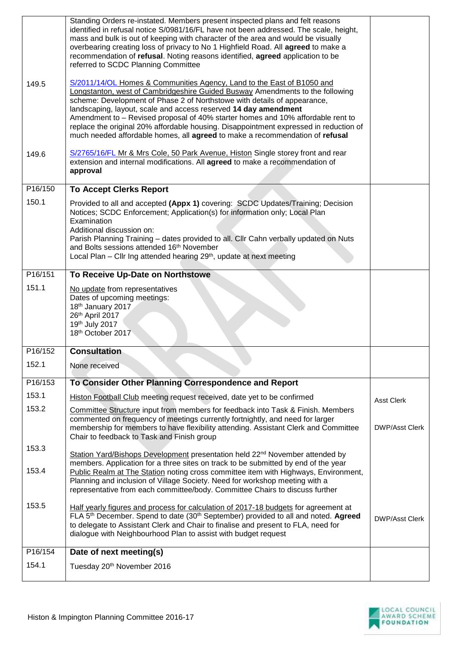|         | Standing Orders re-instated. Members present inspected plans and felt reasons<br>identified in refusal notice S/0981/16/FL have not been addressed. The scale, height,<br>mass and bulk is out of keeping with character of the area and would be visually<br>overbearing creating loss of privacy to No 1 Highfield Road. All agreed to make a<br>recommendation of refusal. Noting reasons identified, agreed application to be<br>referred to SCDC Planning Committee                                                                                           |                       |
|---------|--------------------------------------------------------------------------------------------------------------------------------------------------------------------------------------------------------------------------------------------------------------------------------------------------------------------------------------------------------------------------------------------------------------------------------------------------------------------------------------------------------------------------------------------------------------------|-----------------------|
| 149.5   | S/2011/14/OL Homes & Communities Agency, Land to the East of B1050 and<br>Longstanton, west of Cambridgeshire Guided Busway Amendments to the following<br>scheme: Development of Phase 2 of Northstowe with details of appearance,<br>landscaping, layout, scale and access reserved 14 day amendment<br>Amendment to - Revised proposal of 40% starter homes and 10% affordable rent to<br>replace the original 20% affordable housing. Disappointment expressed in reduction of<br>much needed affordable homes, all agreed to make a recommendation of refusal |                       |
| 149.6   | S/2765/16/FL Mr & Mrs Cole, 50 Park Avenue, Histon Single storey front and rear<br>extension and internal modifications. All agreed to make a recommendation of<br>approval                                                                                                                                                                                                                                                                                                                                                                                        |                       |
| P16/150 | <b>To Accept Clerks Report</b>                                                                                                                                                                                                                                                                                                                                                                                                                                                                                                                                     |                       |
| 150.1   | Provided to all and accepted (Appx 1) covering: SCDC Updates/Training; Decision<br>Notices; SCDC Enforcement; Application(s) for information only; Local Plan<br>Examination<br>Additional discussion on:<br>Parish Planning Training - dates provided to all. Cllr Cahn verbally updated on Nuts<br>and Bolts sessions attended 16th November<br>Local Plan - Cllr Ing attended hearing 29 <sup>th</sup> , update at next meeting                                                                                                                                 |                       |
| P16/151 | To Receive Up-Date on Northstowe                                                                                                                                                                                                                                                                                                                                                                                                                                                                                                                                   |                       |
| 151.1   | No update from representatives<br>Dates of upcoming meetings:<br>18th January 2017<br>26th April 2017<br>19th July 2017<br>18th October 2017                                                                                                                                                                                                                                                                                                                                                                                                                       |                       |
| P16/152 | <b>Consultation</b>                                                                                                                                                                                                                                                                                                                                                                                                                                                                                                                                                |                       |
| 152.1   | None received                                                                                                                                                                                                                                                                                                                                                                                                                                                                                                                                                      |                       |
| P16/153 | To Consider Other Planning Correspondence and Report                                                                                                                                                                                                                                                                                                                                                                                                                                                                                                               |                       |
| 153.1   | Histon Football Club meeting request received, date yet to be confirmed                                                                                                                                                                                                                                                                                                                                                                                                                                                                                            | <b>Asst Clerk</b>     |
| 153.2   | Committee Structure input from members for feedback into Task & Finish. Members<br>commented on frequency of meetings currently fortnightly, and need for larger<br>membership for members to have flexibility attending. Assistant Clerk and Committee<br>Chair to feedback to Task and Finish group                                                                                                                                                                                                                                                              | <b>DWP/Asst Clerk</b> |
| 153.3   | Station Yard/Bishops Development presentation held 22 <sup>nd</sup> November attended by<br>members. Application for a three sites on track to be submitted by end of the year                                                                                                                                                                                                                                                                                                                                                                                     |                       |
| 153.4   | Public Realm at The Station noting cross committee item with Highways, Environment,<br>Planning and inclusion of Village Society. Need for workshop meeting with a<br>representative from each committee/body. Committee Chairs to discuss further                                                                                                                                                                                                                                                                                                                 |                       |
| 153.5   | Half yearly figures and process for calculation of 2017-18 budgets for agreement at<br>FLA 5 <sup>th</sup> December. Spend to date (30 <sup>th</sup> September) provided to all and noted. Agreed<br>to delegate to Assistant Clerk and Chair to finalise and present to FLA, need for<br>dialogue with Neighbourhood Plan to assist with budget request                                                                                                                                                                                                           | <b>DWP/Asst Clerk</b> |
| P16/154 | Date of next meeting(s)                                                                                                                                                                                                                                                                                                                                                                                                                                                                                                                                            |                       |
| 154.1   | Tuesday 20 <sup>th</sup> November 2016                                                                                                                                                                                                                                                                                                                                                                                                                                                                                                                             |                       |